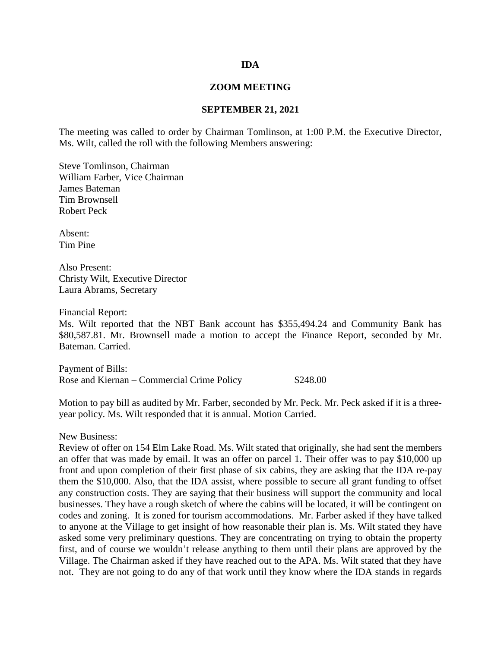## **IDA**

## **ZOOM MEETING**

## **SEPTEMBER 21, 2021**

The meeting was called to order by Chairman Tomlinson, at 1:00 P.M. the Executive Director, Ms. Wilt, called the roll with the following Members answering:

Steve Tomlinson, Chairman William Farber, Vice Chairman James Bateman Tim Brownsell Robert Peck

Absent: Tim Pine

Also Present: Christy Wilt, Executive Director Laura Abrams, Secretary

Financial Report:

Ms. Wilt reported that the NBT Bank account has \$355,494.24 and Community Bank has \$80,587.81. Mr. Brownsell made a motion to accept the Finance Report, seconded by Mr. Bateman. Carried.

Payment of Bills: Rose and Kiernan – Commercial Crime Policy \$248.00

Motion to pay bill as audited by Mr. Farber, seconded by Mr. Peck. Mr. Peck asked if it is a threeyear policy. Ms. Wilt responded that it is annual. Motion Carried.

New Business:

Review of offer on 154 Elm Lake Road. Ms. Wilt stated that originally, she had sent the members an offer that was made by email. It was an offer on parcel 1. Their offer was to pay \$10,000 up front and upon completion of their first phase of six cabins, they are asking that the IDA re-pay them the \$10,000. Also, that the IDA assist, where possible to secure all grant funding to offset any construction costs. They are saying that their business will support the community and local businesses. They have a rough sketch of where the cabins will be located, it will be contingent on codes and zoning. It is zoned for tourism accommodations. Mr. Farber asked if they have talked to anyone at the Village to get insight of how reasonable their plan is. Ms. Wilt stated they have asked some very preliminary questions. They are concentrating on trying to obtain the property first, and of course we wouldn't release anything to them until their plans are approved by the Village. The Chairman asked if they have reached out to the APA. Ms. Wilt stated that they have not. They are not going to do any of that work until they know where the IDA stands in regards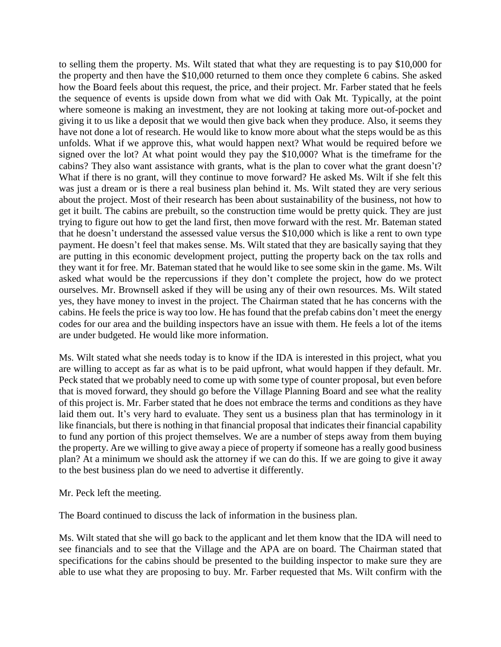to selling them the property. Ms. Wilt stated that what they are requesting is to pay \$10,000 for the property and then have the \$10,000 returned to them once they complete 6 cabins. She asked how the Board feels about this request, the price, and their project. Mr. Farber stated that he feels the sequence of events is upside down from what we did with Oak Mt. Typically, at the point where someone is making an investment, they are not looking at taking more out-of-pocket and giving it to us like a deposit that we would then give back when they produce. Also, it seems they have not done a lot of research. He would like to know more about what the steps would be as this unfolds. What if we approve this, what would happen next? What would be required before we signed over the lot? At what point would they pay the \$10,000? What is the timeframe for the cabins? They also want assistance with grants, what is the plan to cover what the grant doesn't? What if there is no grant, will they continue to move forward? He asked Ms. Wilt if she felt this was just a dream or is there a real business plan behind it. Ms. Wilt stated they are very serious about the project. Most of their research has been about sustainability of the business, not how to get it built. The cabins are prebuilt, so the construction time would be pretty quick. They are just trying to figure out how to get the land first, then move forward with the rest. Mr. Bateman stated that he doesn't understand the assessed value versus the \$10,000 which is like a rent to own type payment. He doesn't feel that makes sense. Ms. Wilt stated that they are basically saying that they are putting in this economic development project, putting the property back on the tax rolls and they want it for free. Mr. Bateman stated that he would like to see some skin in the game. Ms. Wilt asked what would be the repercussions if they don't complete the project, how do we protect ourselves. Mr. Brownsell asked if they will be using any of their own resources. Ms. Wilt stated yes, they have money to invest in the project. The Chairman stated that he has concerns with the cabins. He feels the price is way too low. He has found that the prefab cabins don't meet the energy codes for our area and the building inspectors have an issue with them. He feels a lot of the items are under budgeted. He would like more information.

Ms. Wilt stated what she needs today is to know if the IDA is interested in this project, what you are willing to accept as far as what is to be paid upfront, what would happen if they default. Mr. Peck stated that we probably need to come up with some type of counter proposal, but even before that is moved forward, they should go before the Village Planning Board and see what the reality of this project is. Mr. Farber stated that he does not embrace the terms and conditions as they have laid them out. It's very hard to evaluate. They sent us a business plan that has terminology in it like financials, but there is nothing in that financial proposal that indicates their financial capability to fund any portion of this project themselves. We are a number of steps away from them buying the property. Are we willing to give away a piece of property if someone has a really good business plan? At a minimum we should ask the attorney if we can do this. If we are going to give it away to the best business plan do we need to advertise it differently.

Mr. Peck left the meeting.

The Board continued to discuss the lack of information in the business plan.

Ms. Wilt stated that she will go back to the applicant and let them know that the IDA will need to see financials and to see that the Village and the APA are on board. The Chairman stated that specifications for the cabins should be presented to the building inspector to make sure they are able to use what they are proposing to buy. Mr. Farber requested that Ms. Wilt confirm with the